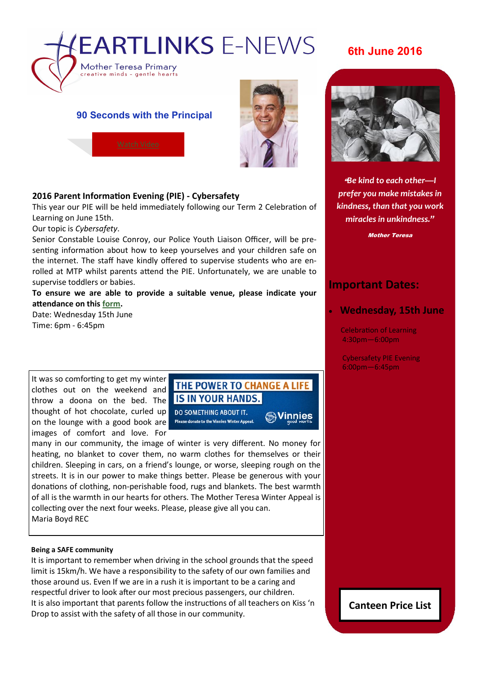

# **6th June 2016**

### **90 Seconds with the Principal**



### **2016 Parent Information Evening (PIE) - Cybersafety**

This year our PIE will be held immediately following our Term 2 Celebration of Learning on June 15th.

Our topic is *Cybersafety*.

Senior Constable Louise Conroy, our Police Youth Liaison Officer, will be presenting information about how to keep yourselves and your children safe on the internet. The staff have kindly offered to supervise students who are enrolled at MTP whilst parents attend the PIE. Unfortunately, we are unable to supervise toddlers or babies.

**To ensure we are able to provide a suitable venue, please indicate your attendance on this [form.](https://docs.google.com/a/parra.catholic.edu.au/forms/d/1qgfNe0ofhgZBppKR2lXbDso9UFJBYnDNsSXkA2cNTmg/edit?usp=drive_web)** 

Date: Wednesday 15th June Time: 6pm - 6:45pm

It was so comforting to get my winter clothes out on the weekend and throw a doona on the bed. The thought of hot chocolate, curled up on the lounge with a good book are images of comfort and love. For

# THE POWER TO CHANGE A LIFE IS IN YOUR HANDS.

**DO SOMETHING ABOUT IT.** Please donate to the Vinnies Winter Appeal.

**Sylinnies** 

many in our community, the image of winter is very different. No money for heating, no blanket to cover them, no warm clothes for themselves or their children. Sleeping in cars, on a friend's lounge, or worse, sleeping rough on the streets. It is in our power to make things better. Please be generous with your donations of clothing, non-perishable food, rugs and blankets. The best warmth of all is the warmth in our hearts for others. The Mother Teresa Winter Appeal is collecting over the next four weeks. Please, please give all you can. Maria Boyd REC

#### **Being a SAFE community**

It is important to remember when driving in the school grounds that the speed limit is 15km/h. We have a responsibility to the safety of our own families and those around us. Even If we are in a rush it is important to be a caring and respectful driver to look after our most precious passengers, our children. It is also important that parents follow the instructions of all teachers on Kiss 'n Drop to assist with the safety of all those in our community.



"*Be kind to each other—I prefer you make mistakes in kindness, than that you work miracles in unkindness."*

Mother Teresa

# **Important Dates:**

### **Wednesday, 15th June**

Celebration of Learning 4:30pm—6:00pm

Cybersafety PIE Evening 6:00pm—6:45pm

**Canteen Price List**